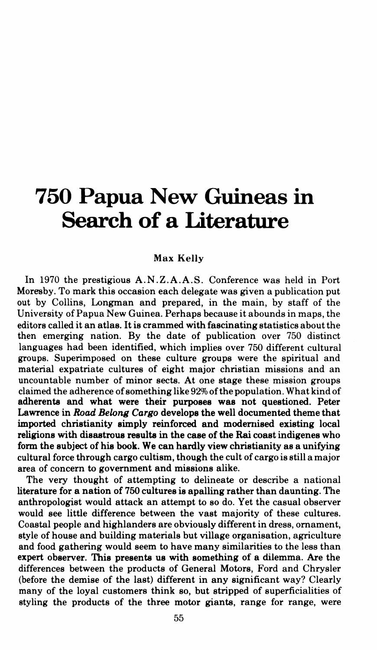# **750 Papua New Guineas in Search of a Literature**

## Max Kelly

In 1970 the prestigious A.N .Z.A.A.S. Conference was held in Port Moresby. To mark this occasion each delegate was given a publication put out by Collins, Longman and prepared, in the main, by staff of the University of Papua New Guinea. Perhaps because it abounds in maps, the editors called it an atlas. It is crammed with fascinating statistics about the then emerging nation. By the date of publication over 750 distinct languages had been identified, which implies over 750 different cultural groups. Superimposed on these culture groups were the spiritual and material expatriate cultures of eight major christian missions and an uncountable number of minor sects. At one stage these mission groups claimed the adherence of something like 92% ofthe population. What kind of adherents and what were their purposes was not questioned. Peter Lawrence in *Road Belong Cargo* develops the well documented theme that imported christianity simply reinforced and modemised existing local religions with disastrous results in the case of the Rai coast indigenes who form the subject of his book. We can hardly view christianity as a unifying cultural force through cargo cultism, though the cult of cargo is still a major area of concern to govemment and missions alike.

The very thought of attempting to delineate or describe a national literature for a nation of 750 cultures is apalling rather than daunting. The anthropologist would attack an attempt to so do. Yet the casual observer would see little difference between the vast majority of these cultures. Coastal people and highlanders are obviously different in dress, ornament, style of house and building materials but village organisation, agriculture and food gathering would seem to have many similarities to the less than expert observer. This presents us with something of a dilemma. Are the differences between the products of General Motors, Ford and Chrysler (before the demise of the last) different in any significant way? Clearly many of the loyal customers think so, but stripped of superficialities of styling the products of the three motor giants, range for range, were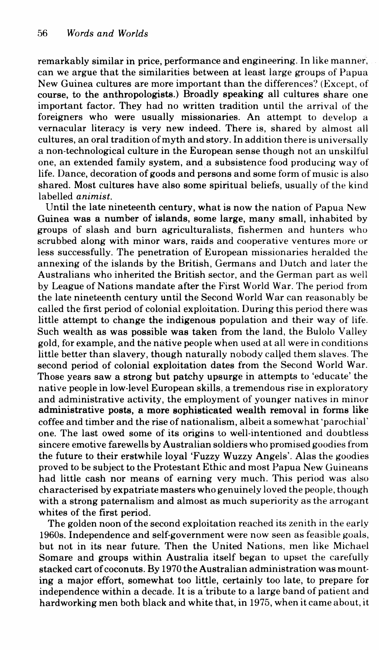remarkably similar in price, performance and engineering. In like manner, can we argue that the similarities between at least large groups of Papua New Guinea cultures are more important than the differences? (Except, of course, to the anthropologists.) Broadly speaking all cultures share one important factor. They had no written tradition until the arrival of the foreigners who were usually missionaries. An attempt to develop a vernacular literacy is very new indeed. There is, shared by almost all cultures, an oral tradition of myth and story. In addition there is universally a non-technological culture in the European sense though not an unskilful one, an extended family system, and a subsistence food producing way of life. Dance, decoration of goods and persons and some form of music is also shared. Most cultures have also some spiritual beliefs, usually of the kind labelled *animist.* 

Until the late nineteenth century, what is now the nation of Papua New Guinea was a number of islands, some large, many small, inhabited by groups of slash and burn agriculturalists, fishermen and hunters who scrubbed along with minor wars, raids and cooperative ventures more or less successfully. The penetration of European missionaries heralded the annexing of the islands by the British, Germans and Dutch and later the Australians who inherited the British sector, and the German part as well by League of Nations mandate after the First World War. The period from the late nineteenth century until the Second World War can reasonably be called the first period of colonial exploitation. During this period there was little attempt to change the indigenous population and their way of life. Such wealth as was possible was taken from the land, the Bulolo Valley gold, for example, and the native people when used at all were in conditions little better than slavery, though naturally nobody called them slaves. The second period of colonial exploitation dates from the Second World War. Those years saw a strong but patchy upsurge in attempts to 'educate' the native people in low-level European skills, a tremendous rise in exploratory and administrative activity, the employment of younger natives in minor administrative posts, a more sophisticated wealth removal in forms like coffee and timber and the rise of nationalism, albeit a somewhat 'parochial' one. The last owed some of its origins to well-intentioned and doubtless sincere emotive farewells by Australian soldiers who promised goodies from the future to their erstwhile loyal 'Fuzzy Wuzzy Angels'. Alas the goodies proved to be subject to the Protestant Ethic and most Papua New Guineans had little cash nor means of earning very much. This period was also characterised by expatriate masters who genuinely loved the people, though with a strong paternalism and almost as much superiority as the arrogant whites of the first period.

The golden noon of the second exploitation reached its zenith in the early 1960s. Independence and self-government were now seen as feasible goals, but not in its near future. Then the United Nations, men like Michael Somare and groups within Australia itself began to upset the carefully stacked cart of coconuts. By 1970 the Australian administration was mounting a major effort, somewhat too little, certainly too late, to prepare for independence within a decade. It is a tribute to a large band of patient and hardworking men both black and white that, in 1975, when it came about, it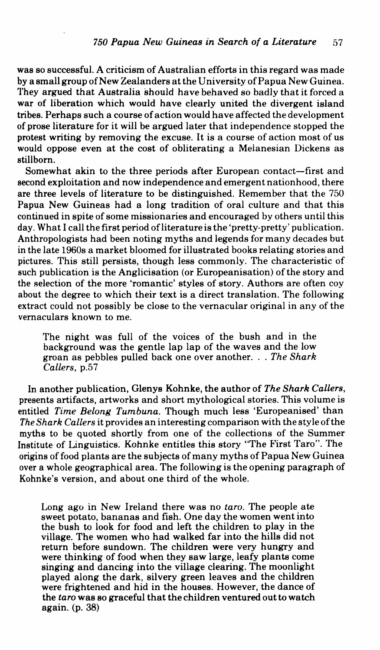was so successful. A criticism of Australian efforts in this regard was made by a small group of New Zealanders at the University of Papua New Guinea. They argued that Australia should have behaved so badly that it forced a war of liberation which would have clearly united the divergent island tribes. Perhaps such a course of action would have affected the development of prose literature for it will be argued later that independence stopped the protest writing by removing the excuse. It is a course of action most of us would oppose even at the cost of obliterating a Melanesian Dickens as stillborn.

Somewhat akin to the three periods after European contact-first and second exploitation and now independence and emergent nationhood, there are three levels of literature to be distinguished. Remember that the 750 Papua New Guineas had a long tradition of oral culture and that this continued in spite of some missionaries and encouraged by others until this day. What I call the first period ofliteratureis the 'pretty-pretty' publication. Anthropologists had been noting myths and legends for many decades but in the late 1960s a market bloomed for illustrated books relating stories and pictures. This still persists, though less commonly. The characteristic of such publication is the Anglicisation (or Europeanisation) of the story and the selection of the more 'romantic' styles of story. Authors are often coy about the degree to which their text is a direct translation. The following extract could not possibly be close to the vernacular original in any of the vernaculars known to me.

The night was full of the voices of the bush and in the background was the gentle lap lap of the waves and the low groan as pebbles pulled back one over another ... *The Shark Callers,* p.57

In another publication, Glenys Kohnke, the author of *The Shark Callers,*  presents artifacts, artworks and short mythological stories. This volume is entitled *Time Belong Tumbuna.* Though much less 'Europeanised' than *The Shark Callers* it provides an interesting comparison with the style of the myths to be quoted shortly from one of the collections of the Summer Institute of Linguistics. Kohnke entitles this story "The First Taro". The origins of food plants are the subjects of many myths of Papua New Guinea over a whole geographical area. The following is the opening paragraph of Kohnke's version, and about one third of the whole.

Long ago in New Ireland there was no *taro.* The people ate sweet potato, bananas and fish. One day the women went into the bush to look for food and left the children to play in the village. The women who had walked far into the hills did not return before sundown. The children were very hungry and were thinking of food when they saw large, leafy plants come singing and dancing into the village clearing. The moonlight played along the dark, silvery green leaves and the children were frightened and hid in the houses. However, the dance of the *taro* was so graceful that the children ventured out to watch again. (p. 38)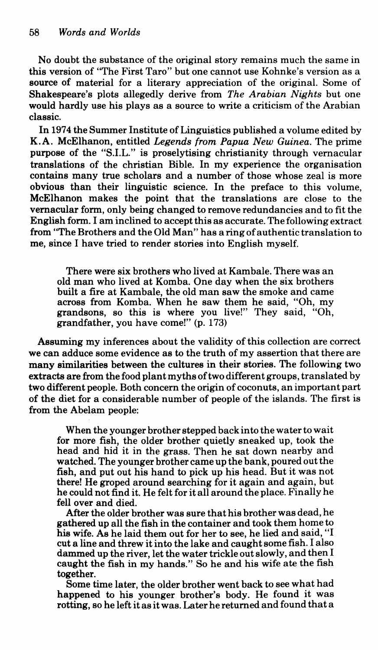*No* doubt the substance of the original story remains much the same in this version of "The First Taro" but one cannot use Kohnke's version as a source of material for a literary appreciation of the original. Some of Shakespeare's plots allegedly derive from *The Arabian Nights* but one would hardly use his plays as a source to write a criticism of the Arabian classic.

In 197 4 the Summer Institute of Linguistics published a volume edited by K.A. McElhanon, entitled *Legends from Papua New Guinea.* The prime purpose of the "S.I.L." is proselytising christianity through vernacular translations of the christian Bible. In my experience the organisation contains many true scholars and a number of those whose zeal is more obvious than their linguistic science. In the preface to this volume, McElhanon makes the point that the translations are close to the vernacular form, only being changed to remove redundancies and *to* fit the English form. I am inclined to accept this as accurate. The following extract from "The Brothers and the Old Man" has a ring of authentic translation to me, since I have tried to render stories into English myself.

There were six brothers who lived at Kambale. There was an old man who lived at Komba. One day when the six brothers built a fire at Kambale, the old man saw the smoke and came across from Komba. When he saw them he said, "Oh, my grandsons, so this is where you live!" They said, "Oh, grandfather, you have come!'' (p. 173)

Assuming my inferences about the validity of this collection are correct we can adduce some evidence as to the truth of my assertion that there are many similarities between the cultures in their stories. The following two extracts are from the food plant myths of two different groups, translated by two different people. Both concern the origin of coconuts, an important part of the diet for a considerable number of people of the islands. The first is from the Abelam people:

When the younger brother stepped back into the water to wait for more fish, the older brother quietly sneaked up, took the head and hid it in the grass. Then he sat down nearby and watched. The younger brother came up the bank, poured out the fish, and put out his hand to pick up his head. But it was not there! He groped around searching for it again and again, but he could not find it. He felt for it all around the place. Finally he fell over and died.

After the older brother was sure that his brother was dead, he gathered up all the fish in the container and took them home to his wife. As he laid them out for her to see, he lied and said, "I cut a line and threw it into the lake and caught some fish. I also dammed up the river, let the water trickle out slowly, and then I caught the fish in my hands." So he and his wife ate the fish together.

Some time later, the older brother went back to see what had happened to his younger brother's body. He found it was rotting, so he left itasitwas. Later he returned and found that a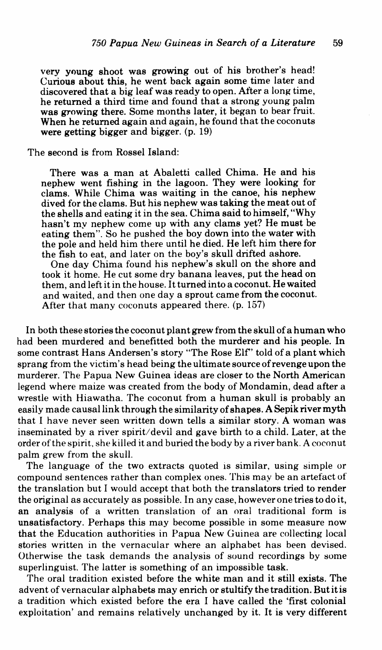very young shoot was growing out of his brother's head! Curious about this, he went back again some time later and discovered that a big leaf was ready to open. After a long time, he returned a third time and found that a strong young palm was growing there. Some months later, it began to bear fruit. When he returned again and again, he found that the coconuts were getting bigger and bigger. (p. 19)

# The second is from Rossel Island:

There was a man at Abaletti called Chima. He and his nephew went fishing in the lagoon. They were looking for clams. While Chima was waiting in the canoe, his nephew dived for the clams. But his nephew was taking the meat out of the shells and eating it in the sea. Chima said to himself, "Why hasn't my nephew come up with any clams yet? He must be eating them". So he pushed the boy down into the water with the pole and held him there until he died. He left him there for the fish to eat, and later on the boy's skull drifted ashore.

One day Chima found his nephew's skull on the shore and took it home. He cut some dry banana leaves, put the head on them, and left it in the house. It turned into a coconut. He waited and waited, and then one day a sprout came from the coconut. After that many coconuts appeared there. (p. 157)

In both these stories the coconut plant grew from the skull of a human who had been murdered and benefitted both the murderer and his people. In some contrast Hans Andersen's story "The Rose Elf' told of a plant which sprang from the victim's head being the ultimate source of revenge upon the murderer. The Papua New Guinea ideas are closer to the North American legend where maize was created from the body of Mondamin, dead after a wrestle with Hiawatha. The coconut from a human skull is probably an easily made causal link through the similarity of shapes. A Sepik river myth that I have never seen written down tells a similar story. A woman was inseminated by a river spirit/devil and gave birth to a child. Later, at the order of the spirit. she killed it and buried the body by a river bank. A coconut palm grew from the skull.

The language of the two extracts quoted is similar, using simple or compound sentences rather than complex ones. This may be an artefact of the translation but I would accept that both the translators tried to render the original as accurately as possible. In any case, however one tries to do it, an analysis of a written translation of an oral traditional form is unsatisfactory. Perhaps this may become possible in some measure now that the Education authorities in Papua New Guinea are collecting local stories written in the vernacular where an alphabet has been devised. Otherwise the task demands the analysis of sound recordings by some superlinguist. The latter is something of an impossible task.

The oral tradition existed before the white man and it still exists. The advent of vernacular alphabets may enrich or stultify the tradition. But it is a tradition which existed before the era I have called the 'first colonial exploitation' and remains relatively unchanged by it. It is very different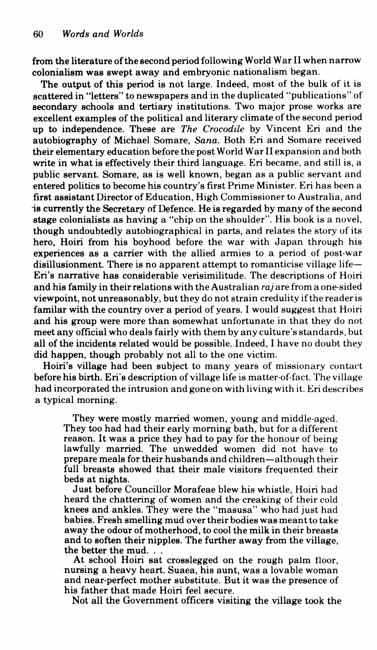from the literature of the second period following World War II when narrow colonialism was swept away and embryonic nationalism began.

The output of this period is not large. Indeed, most of the bulk of it is scattered in "letters" to newspapers and in the duplicated "publications" of secondary schools and tertiary institutions. Two major prose works are excellent examples of the political and literary climate of the second period up to independence. These are *The Crocodile* by Vincent Eri and the autobiography of Michael Somare, *Sana.* Both Eri and Somare received their elementary education before the post World War II expansion and both write in what is effectively their third language. Eri became, and still is, a public servant. Somare, as is well known, began as a public servant and entered politics to become his country's first Prime Minister. Eri has been a first assistant Director of Education, High Commissioner to Australia, and ·is currently the Secretary of Defence. He is regarded by many of the second stage colonialists as having a "chip on the shoulder". His book is a novel, though undoubtedly autobiographical in parts, and relates the story of its hero, Hoiri from his boyhood before the war with Japan through his experiences as a carrier with the allied armies to a period of post-war disillusionment. There is no apparent attempt to romanticise village life-En's narrative has considerable verisimilitude. The descriptions of Hoiri and his family in their relations with the Australian *raj* are from a one-sided viewpoint, not unreasonably, but they do not strain credulity if the reader is familar with the country over a period of years. I would suggest that Hoiri and his group were more than somewhat unfortunate in that they do not meet any official who deals fairly with them by any culture's standards, but all of the incidents related would be possible. Indeed, I have no doubt they did happen, though probably not all to the one victim.

Hoiri's village had been subject to many years of missionary contact before his birth. Eri's description of village life is matter-of-fact. The village had incorporated the intrusion and gone on with living with it. Eri describes a typical morning.

They were mostly married women, young and middle-aged. They too had had their early morning bath, but for a different reason. It was a price they had to pay for the honour of being lawfully married. The unwedded women did not have to prepare meals for their husbands and children-although their full breasts showed that their male visitors frequented their beds at nights.

Just before Councillor Morafeae blew his whistle, Hoiri had heard the chattering of women and the creaking of their cold knees and ankles. They were the "masusa" who had just had babies. Fresh smelling mud over their bodies was meant to take away the odour of motherhood, to cool the milk in their breasts and to soften their nipples. The further away from the village,

At school Hoiri sat crosslegged on the rough palm floor, nursing a heavy heart. Suaea, his aunt, was a lovable woman and near-perfect mother substitute. But it was the presence of his father that made Hoiri feel secure.

Not all the Government officers visiting the village took the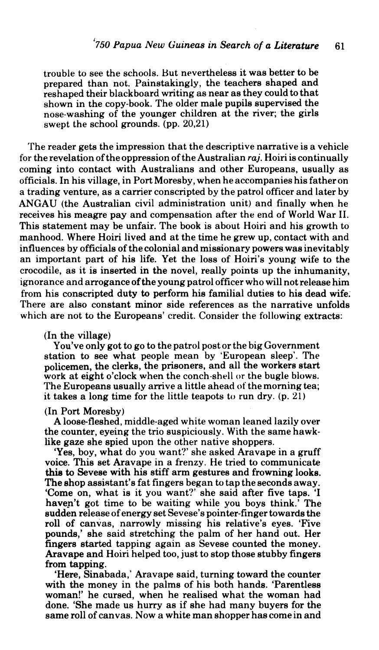trouble to see the schools. Hut nevertheless it was better to be prepared than not. Painstakingly, the teachers shaped and reshaped their blackboard writing as near as they could to that shown in the copy-book. The older male pupils supervised the nose-washing of the younger children at the river; the girls swept the school grounds. (pp. 20,21)

The reader gets the impression that the descriptive narrative is a vehicle for the revelation of the oppression of the Australian *raj.* Hoiri is continually coming into contact with Australians and other Europeans, usually as officials. In his village, in Port Moresby, when he accompanies his father on a trading venture, as a carrier conscripted by the patrol officer and later by ANGAU (the Australian civil administration unit) and finally when he receives his meagre pay and compensation after the end of World War II. This statement may be unfair. The book is about Hoiri and his growth to manhood. Where Hoiri lived and at the time he grew up, contact with and influences by officials of the colonial and missionary powers was inevitably an important part of his life. Yet the loss of Hoiri's young wife to the crocodile, as it is inserted in the novel, really points up the inhumanity, ignorance and arrogance of the young patrol officer who will not release him from his conscripted duty to perform his familial duties to his dead wife; There are also constant minor side references as the narrative unfolds which are not to the Europeans' credit. Consider the following extracts:

### (In the village)

You've only got to go to the patrol post or the big Government station to see what people mean by 'European sleep'. The policemen, the clerks, the prisoners, and all the workers start work at eight o'clock when the conch-shell or the bugle blows. The Europeans usually arrive a little ahead of the morning tea; it takes a long time for the little teapots to run dry. (p. 21)

#### (In Port Moresby)

A loose-fleshed, middle-aged white woman leaned lazily over the counter, eyeing the trio suspiciously. With the same hawklike gaze she spied upon the other native shoppers.

'Yes, boy, what do you want?' she asked Aravape in a gruff voice. This set Aravape in a frenzy. He tried to communicate **this** to Sevese with his stiff arm gestures and frowning looks. The shop assistant's fat fingers began to tap the seconds away. 'Come on, what is it you want?' she said after five taps. 'I haven't got time to be waiting while you boys think.' The sudden release of energy set Sevese's pointer-finger towards the roll of canvas, narrowly missing his relative's eyes. 'Five pounds,' she said stretching the palm of her hand out. Her fingers started tapping again as Sevese counted the money. Aravape and Hoiri helped too, just to stop those stubby fingers from tapping.

'Here, Sinabada,' Aravape said, turning toward the counter with the money in the palms of his both hands. 'Parentless woman!' he cursed, when he realised what the woman had done. 'She made us hurry as if she had many buyers for the same roll of canvas. Now a white man shopper has come in and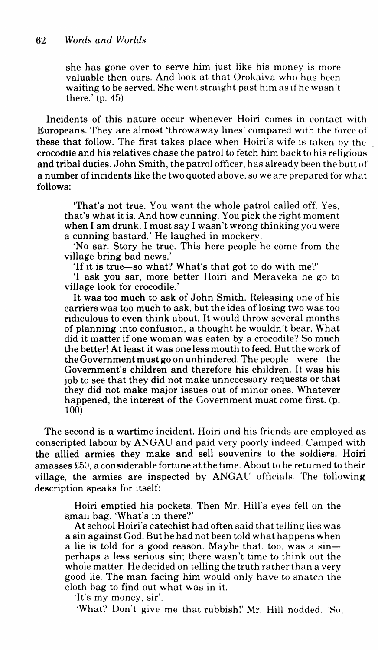she has gone over to serve him just like his money is more valuable then ours. And look at that Orokaiva who has heen waiting to be served. She went straight past him as if he wasn't there.' (p. 45)

Incidents of this nature occur whenever Hoiri comes in contact with Europeans. They are almost 'throwaway lines' compared with the force of these that follow. The first takes place when Hoiri 's wife is taken hy the crocodile and his relatives chase the patrol to fetch him back to his religious and tribal duties. John Smith, the patrol officer. has already been the hutt of a number of incidents like the two quoted above, so we are prepared for what follows:

'That's not true. You want the whole patrol called off. Yes, that's what it is. And how cunning. You pick the right moment when I am drunk. I must say I wasn't wrong thinking you were a cunning bastard.' He laughed in mockery.

'No sar. Story he true. This here people he come from the village bring bad news.'

'If it is true-so what? What's that got to do with me?'

'I ask you sar, more better Hoiri and Meraveka he go to village look for crocodile.'

It was too much to ask of John Smith. Releasing one of his carriers was too much to ask, but the idea of losing two was too ridiculous to even think about. It would throw several months of planning into confusion, a thought he wouldn't bear. What did it matter if one woman was eaten by a crocodile? So much the better! At least it was one less mouth to feed. But the work of the Government must go on unhindered. The people were the Government's children and therefore his children. It was his job to see that they did not make unnecessary requests or that they did not make major issues out of minor ones. Whatever happened, the interest of the Government must come first. (p. 100)

The second is a wartime incident. Hoiri and his friends are employed as conscripted labour by ANGAU and paid very poorly indeed. Camped with the allied armies they make and sell souvenirs to the soldiers. Hoiri amasses  $£50$ , a considerable fortune at the time. About to be returned to their village, the armies are inspected by ANGAU officials. The following description speaks for itself:

Hoiri emptied his pockets. Then Mr. Hill's eyes fell on the small bag. 'What's in there?'

At school Hoiri's catechist had often said that telling lies was a sin against God. But he had not been told what happens when a lie is told for a good reason. Maybe that, too, was a sinperhaps a less serious sin; there wasn't time to think out the whole matter. He decided on telling the truth rather than a very good lie. The man facing him would only have to snatch the cloth bag to find out what was in it.

'It's my money, sir'.

'What? Don't give me that rubbish!' Mr. Hill nodded. 'So,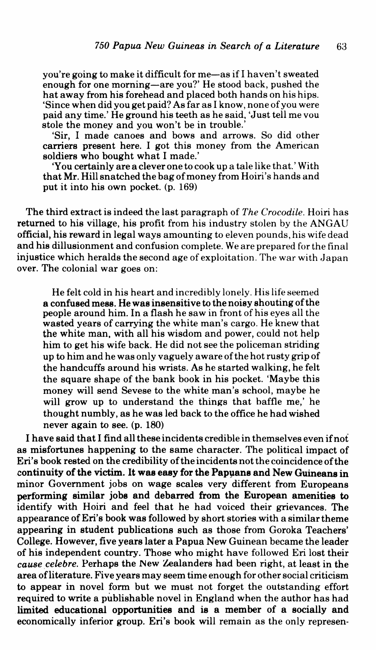you're going to make it difficult for me-as if I haven't sweated enough for one morning-are you?' He stood back, pushed the hat away from his forehead and placed both hands on his hips. 'Since when did you get paid? As far as I know, none of you were paid any time.' He ground his teeth as he said, 'Just tell me vou stole the money and you won't be in trouble.'

'Sir, I made canoes and bows and arrows. So did other carriers present here. I got this money from the American soldiers who bought what I made.'

'You certainly are a clever one to cook up a tale like that.' With that Mr. Hill snatched the bag of money from Hoiri's hands and put it into his own pocket. (p. 169)

The third extract is indeed the last paragraph of *The Crocodile.* Hoiri has returned to his village, his profit from his industry stolen by the ANGAU official, his reward in legal ways amounting to eleven pounds, his wife dead and his dillusionment and confusion complete. We are prepared for the final injustice which heralds the second age of exploitation. The war with Japan over. The colonial war goes on:

He felt cold in his heart and incredibly lonely. His life seemed a confused mess. He was insensitive to the noisy shouting of the people around him. In a flash he saw in front of his eyes all the wasted years of carrying the white man's cargo. He knew that the white man, with all his wisdom and power, could not help him to get his wife back. He did not see the policeman striding up to him and he was only vaguely aware of the hot rusty grip of the handcuffs around his wrists. As he started walking, he felt the square shape of the bank book in his pocket. 'Maybe this money will send Sevese to the white man's school, maybe he will grow up to understand the things that baffle me,' he thought numbly, as he was led back to the office he had wished never again to see. (p. 180)

I have said that I find all these incidents credible in themselves even ifnof as misfortunes happening to the same character. The political impact of Eri's book rested on the credibility of the incidents not the coincidence of the continuity of the victim. It was easy for the Papuans and New Guineans in minor Government jobs on wage scales very different from Europeans performing similar jobs and debarred from the European amenities to identify with Hoiri and feel that he had voiced their grievances. The appearance ofEri's book was followed by short stories with a similar theme appearing in student publications such as those from Goroka Teachers' College. However, five years later a Papua New Guinean became the leader of his independent country. Those who might have followed Eri lost their *cause celebre.* Perhaps the New Zealanders had been right, at least in the area ofliterature. Five years may seem time enough for other social criticism to appear in novel form but we must not forget the outstanding effort required to write a publishable novel in England when the author has had limited educational opportunities and is a member of a socially and economically inferior group. Eri's book will remain as the only represen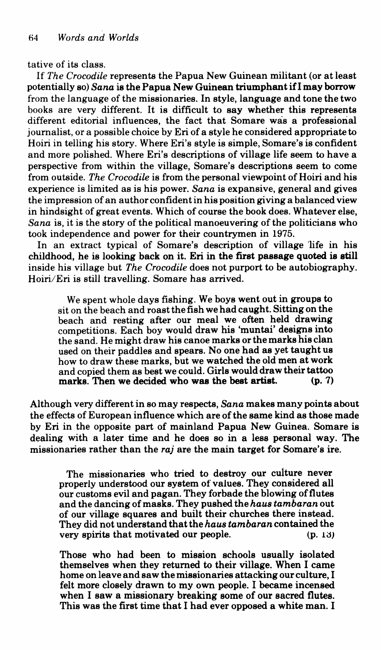tative of its class.

If *The Crocodile* represents the Papua New Guinean militant (or at least potentially so) *Sana* is the Papua New Guinean triumphant ifl may borrow from the language of the missionaries. In style, language and tone the two books are very different. It is difficult to say whether this represents different editorial influences, the fact that Somare was a professional journalist, or a possible choice by Eri of a style he considered appropriate to Hoiri in telling his story. Where Eri's style is simple, Somare's is confident and more polished. Where Eri's descriptions of village life seem to have a perspective from within the village, Somare's descriptions seem to come from outside. *The Crocodile* is from the personal viewpoint of Hoiri and his experience is limited as is his power. *Sana* is expansive, general and gives the impression of an author confident in his position giving a balanced view in hindsight of great events. Which of course the book does. Whatever else, *Sana* is, it is the story of the political manoeuvering of the politicians who took independence and power for their countrymen in 1975.

In an extract typical of Somare's description of village life in his childhood, he is looking back on it. Eri in the first passage quoted is still inside his village but *The Crocodile* does not purport to be autobiography. Hoiri/Eri is still travelling. Somare has arrived.

We spent whole days fishing. We boys went out in groups to sit on the beach and roast the fish we had caught. Sitting on the beach and resting after our meal we often held drawing competitions. Each boy would draw his 'muntai' designs into the sand. He might draw his canoe marks or the marks his clan<br>used on their paddles and spears. No one had as yet taught us how to draw these marks, but we watched the old men at work and copied them as best we could. Girls would draw their tattoo marks. Then we decided who was the best artist.

Although very different in so may respects, *Sana* makes many points about the effects of European influence which are of the same kind as those made by Eri in the opposite part of mainland Papua New Guinea. Somare is dealing with a later time and he does so in a less personal way. The missionaries rather than the *raj* are the main target for Somare's ire.

The missionaries who tried to destroy our culture never properly understood our system of values. They considered all our customs evil and pagan. They forbade the blowing of flutes and the dancing of masks. They pushed the *haus tambaran* out of our village squares and built their churches there instead. They did not understand that the *haus tambaran* contained the very spirits that motivated our people. (p. 13)

Those who had been to mission schools usually isolated themselves when they returned to their village. When I came home on leave and saw the missionaries attacking our culture, I felt more closely drawn to my own people. I became incensed when I saw a missionary breaking some of our sacred flutes. This was the first time that I had ever opposed a white man. I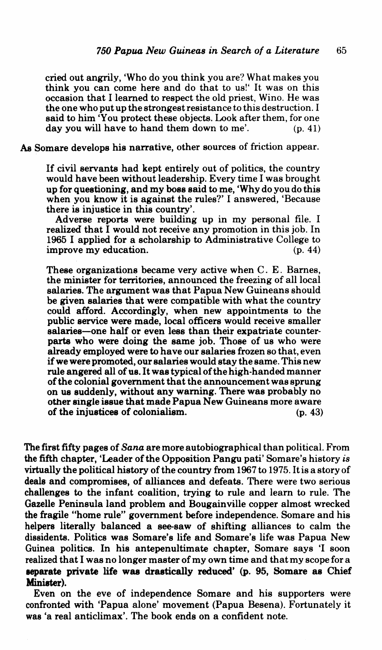cried out angrily, 'Who do you think you are'? What makes you think you can come here and do that to us!' It was on this occasion that I learned to respect the old priest, Wino. He was the one who put up the strongest resistance to this destruction. I said to him 'You protect these objects. Look after them, for one day you will have to hand them down to me'. (p. 41)

*As* Somare develops his narrative, other sources of friction appear.

If civil servants had kept entirely out of politics, the country would have been without leadership. Every time I was brought up for questioning, and my boss said to me, 'Why do you do this when you know it is against the rules?' I answered, 'Because there is injustice in this country'.

Adverse reports were building up in my personal file. I realized that I would not receive any promotion in this job. In 1965 I applied for a scholarship to Administrative College to improve my education. (p. 44)

These organizations became very active when C. E. Barnes, the minister for territories, announced the freezing of all local salaries. The argument was that Papua New Guineans should be given salaries that were compatible with what the country could afford. Accordingly, when new appointments to the public service were made, local officers would receive smaller salaries-one half or even less than their expatriate counter-<br>parts who were doing the same job. Those of us who were already employed were to have our salaries frozen so that, even<br>if we were promoted, our salaries would stay the same. This new<br>rule angered all of us. It was typical of the high-handed manner<br>of the colonial government th other single issue that made Papua New Guineans more aware<br>of the injustices of colonialism.  $(p. 43)$ of the injustices of colonialism.

The first fifty pages of *Sana* are more autobiographical than political. From the fifth chapter, 'Leader of the Opposition Pangu pati' Somare's history *is* virtually the political history of the country from 1967 to 1975. It is a story of deals and compromises, of alliances and defeats. There were two serious challenges to the infant coalition, trying to rule and learn to rule. The Gazelle Peninsula land problem and Bougainville copper almost wrecked the fragile "home rule" government before independence. Somare and his helpers literally balanced a see-saw of shifting alliances to calm the dissidents. Politics was Somare's life and Somare's life was Papua New Guinea politics. In his antepenultimate chapter, Somare says 'I soon realized that I was no longer master of my own time and that my scope for a eeparate private life was drastically reduced' (p. 95, Somare as Chief Minister).

Even on the eve of independence Somare and his supporters were confronted with 'Papua alone' movement (Papua Besena). Fortunately it was 'a real anticlimax'. The book ends on a confident note.